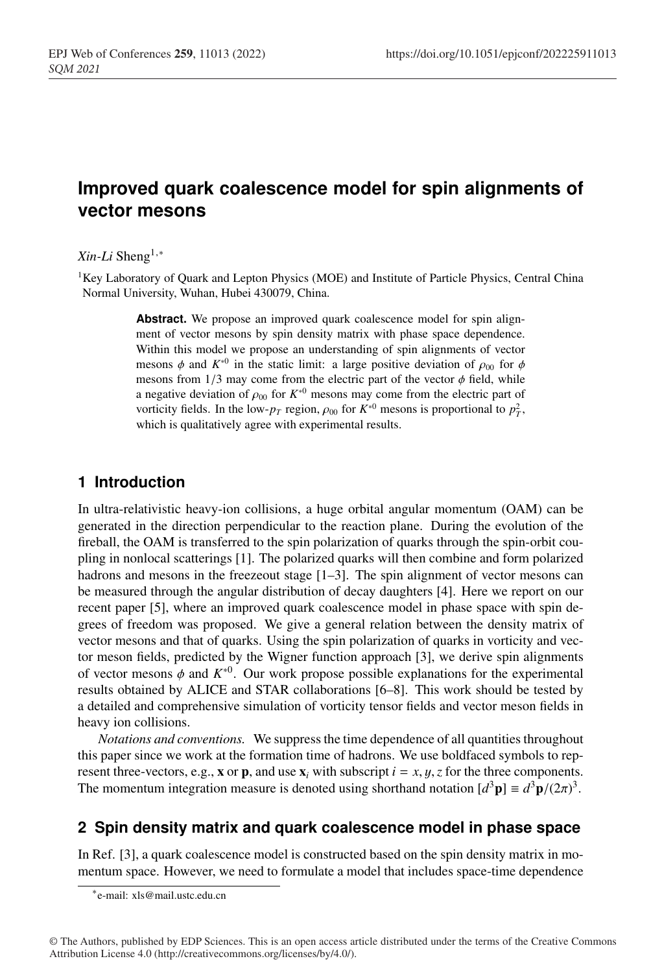# **Improved quark coalescence model for spin alignments of vector mesons**

#### *Xin-Li* Sheng1,<sup>∗</sup>

<sup>1</sup>Key Laboratory of Quark and Lepton Physics (MOE) and Institute of Particle Physics, Central China Normal University, Wuhan, Hubei 430079, China.

> Abstract. We propose an improved quark coalescence model for spin alignment of vector mesons by spin density matrix with phase space dependence. Within this model we propose an understanding of spin alignments of vector mesons  $\phi$  and  $K^{*0}$  in the static limit: a large positive deviation of  $\rho_{00}$  for  $\phi$ mesons from  $1/3$  may come from the electric part of the vector  $\phi$  field, while a negative deviation of  $\rho_{00}$  for  $K^{*0}$  mesons may come from the electric part of vorticity fields. In the low- $p_T$  region,  $\rho_{00}$  for  $K^{*0}$  mesons is proportional to  $p_T^2$ , which is qualitatively agree with experimental results.

#### **1 Introduction**

In ultra-relativistic heavy-ion collisions, a huge orbital angular momentum (OAM) can be generated in the direction perpendicular to the reaction plane. During the evolution of the fireball, the OAM is transferred to the spin polarization of quarks through the spin-orbit coupling in nonlocal scatterings [1]. The polarized quarks will then combine and form polarized hadrons and mesons in the freezeout stage [1–3]. The spin alignment of vector mesons can be measured through the angular distribution of decay daughters [4]. Here we report on our recent paper [5], where an improved quark coalescence model in phase space with spin degrees of freedom was proposed. We give a general relation between the density matrix of vector mesons and that of quarks. Using the spin polarization of quarks in vorticity and vector meson fields, predicted by the Wigner function approach [3], we derive spin alignments of vector mesons  $\phi$  and  $K^{*0}$ . Our work propose possible explanations for the experimental results obtained by ALICE and STAR collaborations [6–8]. This work should be tested by a detailed and comprehensive simulation of vorticity tensor fields and vector meson fields in heavy ion collisions.

*Notations and conventions.* We suppress the time dependence of all quantities throughout this paper since we work at the formation time of hadrons. We use boldfaced symbols to represent three-vectors, e.g., **x** or **p**, and use  $\mathbf{x}_i$  with subscript  $i = x, y, z$  for the three components. The momentum integration measure is denoted using shorthand notation  $[d^3\mathbf{p}] \equiv d^3\mathbf{p}/(2\pi)^3$ .

## **2 Spin density matrix and quark coalescence model in phase space**

In Ref. [3], a quark coalescence model is constructed based on the spin density matrix in momentum space. However, we need to formulate a model that includes space-time dependence

<sup>∗</sup>e-mail: xls@mail.ustc.edu.cn

<sup>©</sup> The Authors, published by EDP Sciences. This is an open access article distributed under the terms of the Creative Commons Attribution License 4.0 (http://creativecommons.org/licenses/by/4.0/).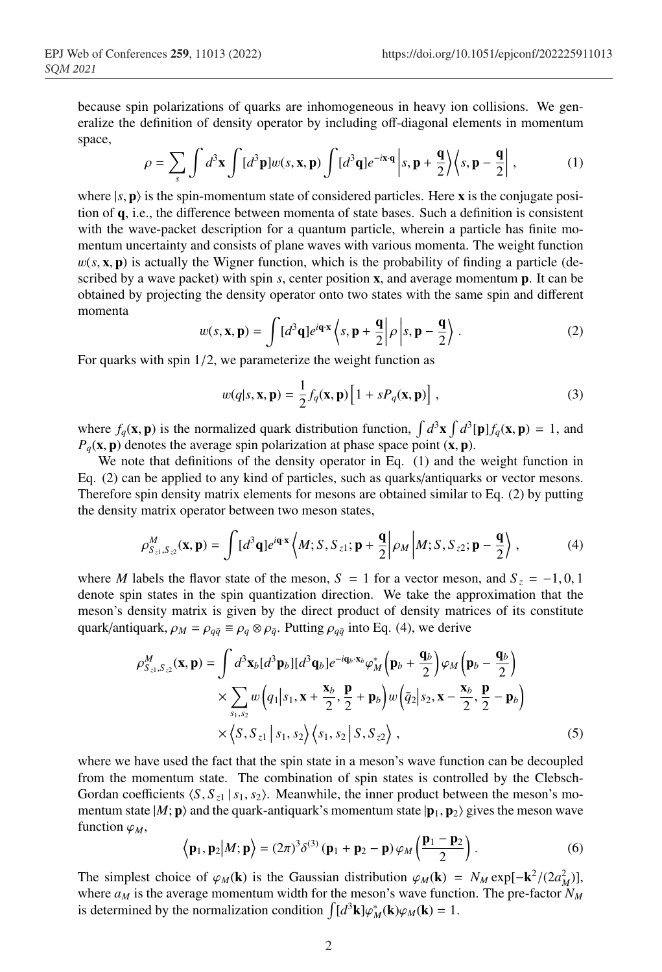because spin polarizations of quarks are inhomogeneous in heavy ion collisions. We generalize the definition of density operator by including off-diagonal elements in momentum space,

$$
\rho = \sum_{s} \int d^3 \mathbf{x} \int [d^3 \mathbf{p}] w(s, \mathbf{x}, \mathbf{p}) \int [d^3 \mathbf{q}] e^{-i \mathbf{x} \cdot \mathbf{q}} \left| s, \mathbf{p} + \frac{\mathbf{q}}{2} \right\rangle \left\langle s, \mathbf{p} - \frac{\mathbf{q}}{2} \right|,
$$
 (1)

where  $|s, \mathbf{p}\rangle$  is the spin-momentum state of considered particles. Here **x** is the conjugate position of q, i.e., the difference between momenta of state bases. Such a definition is consistent with the wave-packet description for a quantum particle, wherein a particle has finite momentum uncertainty and consists of plane waves with various momenta. The weight function  $w(s, \mathbf{x}, \mathbf{p})$  is actually the Wigner function, which is the probability of finding a particle (described by a wave packet) with spin *s*, center position x, and average momentum p. It can be obtained by projecting the density operator onto two states with the same spin and different momenta

$$
w(s, \mathbf{x}, \mathbf{p}) = \int [d^3 \mathbf{q}] e^{i\mathbf{q} \cdot \mathbf{x}} \left\langle s, \mathbf{p} + \frac{\mathbf{q}}{2} \middle| \rho \middle| s, \mathbf{p} - \frac{\mathbf{q}}{2} \right\rangle.
$$
 (2)

For quarks with spin 1/2, we parameterize the weight function as

$$
w(q|s, \mathbf{x}, \mathbf{p}) = \frac{1}{2} f_q(\mathbf{x}, \mathbf{p}) \left[ 1 + sP_q(\mathbf{x}, \mathbf{p}) \right],
$$
 (3)

where  $f_q(\mathbf{x}, \mathbf{p})$  is the normalized quark distribution function,  $\int d^3\mathbf{x} \int d^3[\mathbf{p}] f_q(\mathbf{x}, \mathbf{p}) = 1$ , and  $P_q$ (**x**, **p**) denotes the average spin polarization at phase space point (**x**, **p**).

We note that definitions of the density operator in Eq. (1) and the weight function in Eq. (2) can be applied to any kind of particles, such as quarks/antiquarks or vector mesons. Therefore spin density matrix elements for mesons are obtained similar to Eq. (2) by putting the density matrix operator between two meson states,

$$
\rho_{S_{z1},S_{z2}}^M(\mathbf{x},\mathbf{p}) = \int [d^3\mathbf{q}] e^{i\mathbf{q}\cdot\mathbf{x}} \left\langle M; S, S_{z1}; \mathbf{p} + \frac{\mathbf{q}}{2} \middle| \rho_M \middle| M; S, S_{z2}; \mathbf{p} - \frac{\mathbf{q}}{2} \right\rangle, \tag{4}
$$

where *M* labels the flavor state of the meson,  $S = 1$  for a vector meson, and  $S_z = -1, 0, 1$ denote spin states in the spin quantization direction. We take the approximation that the meson's density matrix is given by the direct product of density matrices of its constitute quark/antiquark,  $\rho_M = \rho_{q\bar{q}} \equiv \rho_q \otimes \rho_{\bar{q}}$ . Putting  $\rho_{q\bar{q}}$  into Eq. (4), we derive

$$
\rho_{S_{z1},S_{z2}}^M(\mathbf{x},\mathbf{p}) = \int d^3 \mathbf{x}_b [d^3 \mathbf{p}_b] [d^3 \mathbf{q}_b] e^{-i\mathbf{q}_b \cdot \mathbf{x}_b} \varphi_M^* \left( \mathbf{p}_b + \frac{\mathbf{q}_b}{2} \right) \varphi_M \left( \mathbf{p}_b - \frac{\mathbf{q}_b}{2} \right)
$$
  
 
$$
\times \sum_{S_1, S_2} w \left( q_1 | s_1, \mathbf{x} + \frac{\mathbf{x}_b}{2}, \frac{\mathbf{p}}{2} + \mathbf{p}_b \right) w \left( \bar{q}_2 | s_2, \mathbf{x} - \frac{\mathbf{x}_b}{2}, \frac{\mathbf{p}}{2} - \mathbf{p}_b \right)
$$
  
 
$$
\times \left\langle S, S_{z1} | s_1, s_2 \right\rangle \left\langle s_1, s_2 | S, S_{z2} \right\rangle, \tag{5}
$$

where we have used the fact that the spin state in a meson's wave function can be decoupled from the momentum state. The combination of spin states is controlled by the Clebsch-Gordan coefficients  $\langle S, S_{z1} | s_1, s_2 \rangle$ . Meanwhile, the inner product between the meson's momentum state  $|M;{\bf p}\rangle$  and the quark-antiquark's momentum state  $|{\bf p}_1,{\bf p}_2\rangle$  gives the meson wave function  $\varphi_M$ ,

$$
\langle \mathbf{p}_1, \mathbf{p}_2 | M; \mathbf{p} \rangle = (2\pi)^3 \delta^{(3)} (\mathbf{p}_1 + \mathbf{p}_2 - \mathbf{p}) \varphi_M \left( \frac{\mathbf{p}_1 - \mathbf{p}_2}{2} \right).
$$
 (6)

The simplest choice of  $\varphi_M(\mathbf{k})$  is the Gaussian distribution  $\varphi_M(\mathbf{k}) = N_M \exp[-\mathbf{k}^2/(2a_M^2)]$ , where  $a_M$  is the average momentum width for the meson's wave function. The pre-factor  $N_M$ is determined by the normalization condition  $\int [d^3{\bf k}] \varphi_M^*({\bf k}) \varphi_M({\bf k}) = 1$ .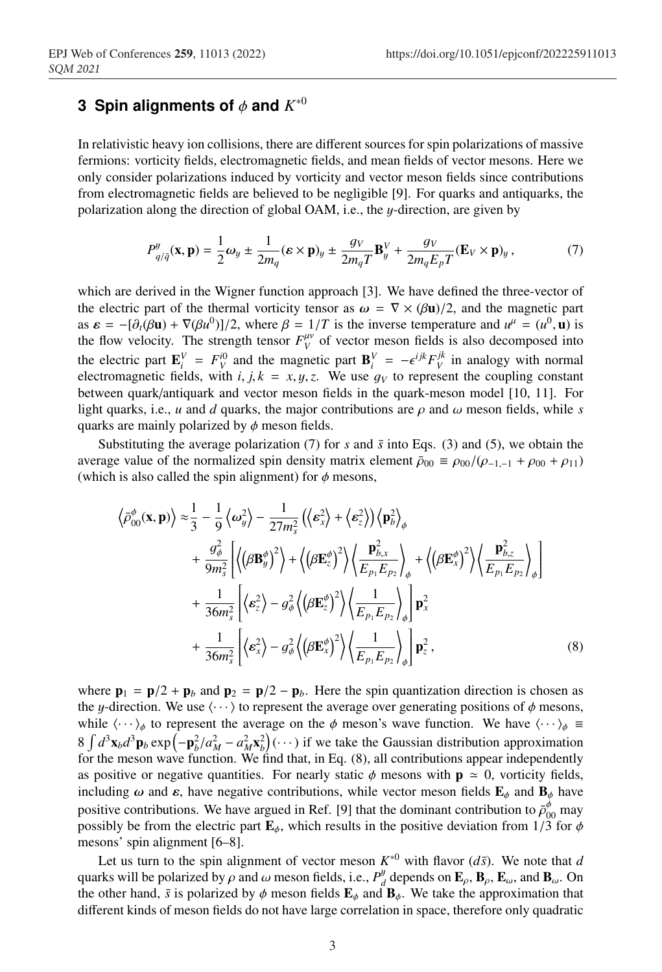### **3 Spin alignments of** φ **and** *K*∗<sup>0</sup>

In relativistic heavy ion collisions, there are different sources for spin polarizations of massive fermions: vorticity fields, electromagnetic fields, and mean fields of vector mesons. Here we only consider polarizations induced by vorticity and vector meson fields since contributions from electromagnetic fields are believed to be negligible [9]. For quarks and antiquarks, the polarization along the direction of global OAM, i.e., the y-direction, are given by

$$
P_{q/\bar{q}}^y(\mathbf{x}, \mathbf{p}) = \frac{1}{2}\omega_y \pm \frac{1}{2m_q}(\boldsymbol{\varepsilon} \times \mathbf{p})_y \pm \frac{g_V}{2m_qT}\mathbf{B}_y^V + \frac{g_V}{2m_qE_pT}(\mathbf{E}_V \times \mathbf{p})_y, \tag{7}
$$

which are derived in the Wigner function approach [3]. We have defined the three-vector of the electric part of the thermal vorticity tensor as  $\omega = \nabla \times (\beta \mathbf{u})/2$ , and the magnetic part as  $\epsilon = -[\partial_t(\beta \mathbf{u}) + \nabla(\beta u^0)]/2$ , where  $\beta = 1/T$  is the inverse temperature and  $u^{\mu} = (u^0, \mathbf{u})$  is the flow velocity. The strength tensor  $F_V^{\mu\nu}$  of vector meson fields is also decomposed into the electric part  $\mathbf{E}_i^V = F_V^{i0}$  and the magnetic part  $\mathbf{B}_i^V = -\epsilon^{ijk} F_V^{jk}$  in analogy with normal electromagnetic fields, with *i*, *j*,  $k = x, y, z$ . We use  $g_V$  to represent the coupling constant between quark/antiquark and vector meson fields in the quark-meson model [10, 11]. For light quarks, i.e., *u* and *d* quarks, the major contributions are  $\rho$  and  $\omega$  meson fields, while *s* quarks are mainly polarized by  $\phi$  meson fields.

Substituting the average polarization (7) for *s* and  $\bar{s}$  into Eqs. (3) and (5), we obtain the average value of the normalized spin density matrix element  $\bar{\rho}_{00} \equiv \rho_{00}/(\rho_{-1,-1} + \rho_{00} + \rho_{11})$ (which is also called the spin alignment) for  $\phi$  mesons,

$$
\langle \bar{\rho}_{00}^{\phi}(\mathbf{x}, \mathbf{p}) \rangle \approx \frac{1}{3} - \frac{1}{9} \langle \omega_{y}^{2} \rangle - \frac{1}{27m_{s}^{2}} \left( \langle \mathbf{\epsilon}_{x}^{2} \rangle + \langle \mathbf{\epsilon}_{z}^{2} \rangle \right) \langle \mathbf{p}_{b}^{2} \rangle_{\phi} + \frac{g_{\phi}^{2}}{9m_{s}^{2}} \left[ \left\langle (\beta \mathbf{B}_{y}^{\phi})^{2} \right\rangle + \left\langle (\beta \mathbf{E}_{z}^{\phi})^{2} \right\rangle \left\langle \frac{\mathbf{p}_{b,x}^{2}}{E_{p_{1}} E_{p_{2}}} \right\rangle_{\phi} + \left\langle (\beta \mathbf{E}_{x}^{\phi})^{2} \right\rangle \left\langle \frac{\mathbf{p}_{b,z}^{2}}{E_{p_{1}} E_{p_{2}}} \right\rangle_{\phi} \right] + \frac{1}{36m_{s}^{2}} \left[ \langle \mathbf{\epsilon}_{z}^{2} \rangle - g_{\phi}^{2} \left\langle (\beta \mathbf{E}_{z}^{\phi})^{2} \right\rangle \left\langle \frac{1}{E_{p_{1}} E_{p_{2}}} \right\rangle_{\phi} \right] \mathbf{p}_{x}^{2} + \frac{1}{36m_{s}^{2}} \left[ \langle \mathbf{\epsilon}_{x}^{2} \rangle - g_{\phi}^{2} \left\langle (\beta \mathbf{E}_{x}^{\phi})^{2} \right\rangle \left\langle \frac{1}{E_{p_{1}} E_{p_{2}}} \right\rangle_{\phi} \right] \mathbf{p}_{z}^{2}, \tag{8}
$$

where  $\mathbf{p}_1 = \mathbf{p}/2 + \mathbf{p}_b$  and  $\mathbf{p}_2 = \mathbf{p}/2 - \mathbf{p}_b$ . Here the spin quantization direction is chosen as the y-direction. We use  $\langle \cdots \rangle$  to represent the average over generating positions of  $\phi$  mesons, while  $\langle \cdots \rangle_{\phi}$  to represent the average on the  $\phi$  meson's wave function. We have  $\langle \cdots \rangle_{\phi}$  =  $8 \int d^3x_b d^3p_b \exp(-p_b^2/a_M^2 - a_M^2x_b^2)(\cdots)$  if we take the Gaussian distribution approximation for the meson wave function. We find that, in Eq. (8), all contributions appear independently as positive or negative quantities. For nearly static  $\phi$  mesons with  $p \approx 0$ , vorticity fields, including  $\omega$  and  $\varepsilon$ , have negative contributions, while vector meson fields  $\mathbf{E}_{\phi}$  and  $\mathbf{B}_{\phi}$  have positive contributions. We have argued in Ref. [9] that the dominant contribution to  $\bar{\rho}_{00}^{\phi}$  may possibly be from the electric part  $\mathbf{E}_{\phi}$ , which results in the positive deviation from 1/3 for  $\phi$ mesons' spin alignment [6–8].

Let us turn to the spin alignment of vector meson  $K^{*0}$  with flavor  $(d\bar{s})$ . We note that *d* quarks will be polarized by  $\rho$  and  $\omega$  meson fields, i.e.,  $P_d^y$  depends on  $\mathbf{E}_{\rho}$ ,  $\mathbf{B}_{\rho}$ ,  $\mathbf{E}_{\omega}$ , and  $\mathbf{B}_{\omega}$ . On the other hand,  $\bar{s}$  is polarized by  $\phi$  meson fields  $\mathbf{E}_{\phi}$  and  $\mathbf{B}_{\phi}$ . We take the approximation that different kinds of meson fields do not have large correlation in space, therefore only quadratic